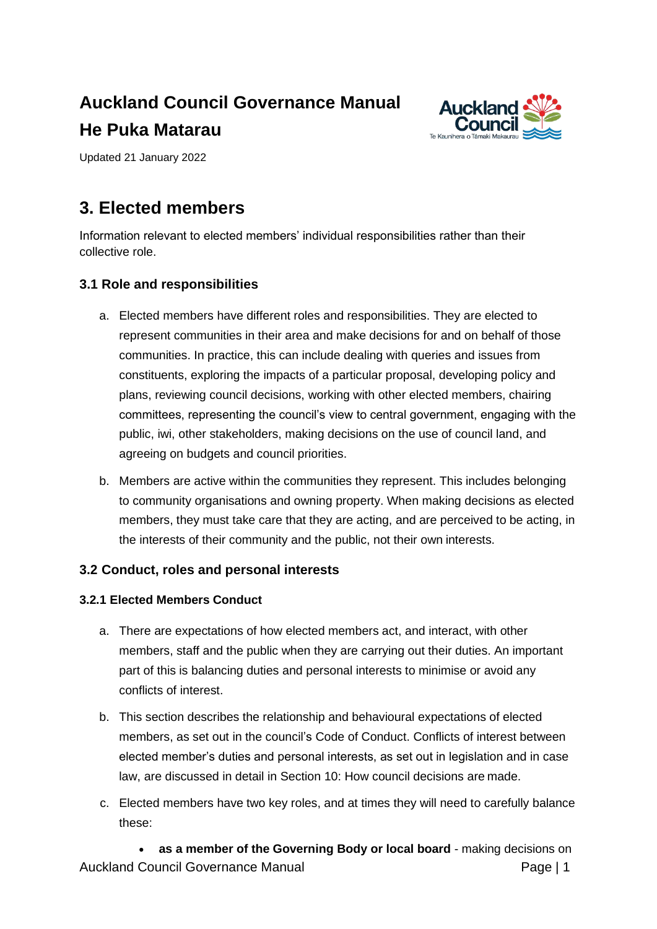# **Auckland Council Governance Manual He Puka Matarau**



Updated 21 January 2022

## **3. Elected members**

Information relevant to elected members' individual responsibilities rather than their collective role.

## **3.1 Role and responsibilities**

- a. Elected members have different roles and responsibilities. They are elected to represent communities in their area and make decisions for and on behalf of those communities. In practice, this can include dealing with queries and issues from constituents, exploring the impacts of a particular proposal, developing policy and plans, reviewing council decisions, working with other elected members, chairing committees, representing the council's view to central government, engaging with the public, iwi, other stakeholders, making decisions on the use of council land, and agreeing on budgets and council priorities.
- b. Members are active within the communities they represent. This includes belonging to community organisations and owning property. When making decisions as elected members, they must take care that they are acting, and are perceived to be acting, in the interests of their community and the public, not their own interests.

## **3.2 [Conduct, roles and personal](http://governance.aucklandcouncil.govt.nz/3-elected-members/conduct-roles-and-personal-interests/) interests**

#### **3.2.1 Elected Members Conduct**

- a. There are expectations of how elected members act, and interact, with other members, staff and the public when they are carrying out their duties. An important part of this is balancing duties and personal interests to minimise or avoid any conflicts of interest.
- b. This section describes the relationship and behavioural expectations of elected members, as set out in the council's [Code of Conduct. C](http://www.aucklandcouncil.govt.nz/SiteCollectionDocuments/aboutcouncil/governingbody/codeofconductelectedmembers.pdf)onflicts of interest between elected member's duties and personal interests, as set out in legislation and in case law, are discussed in detail in [Section 10: How council decisions are](http://governance.aucklandcouncil.govt.nz/10-how-council-decisions-are-made/) made.
- c. Elected members have two key roles, and at times they will need to carefully balance these:

Auckland Council Governance Manual **Page 11** Page | 1 • **as a member of the Governing Body or local board** - making decisions on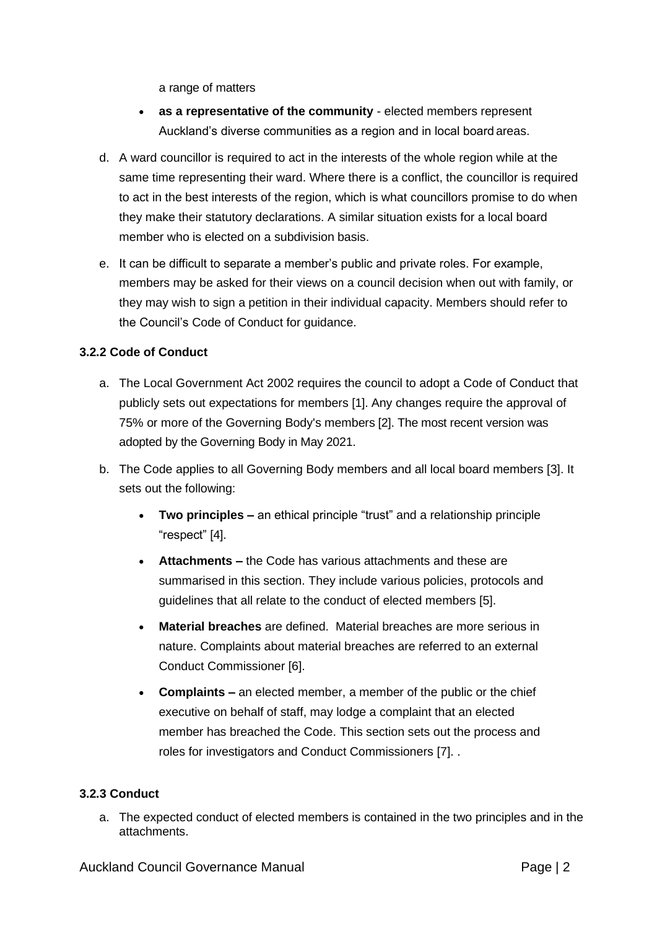a range of matters

- **as a representative of the community**  elected members represent Auckland's diverse communities as a region and in local board areas.
- d. A ward councillor is required to act in the interests of the whole region while at the same time representing their ward. Where there is a conflict, the councillor is required to act in the best interests of the region, which is what councillors promise to do when they make their statutory declarations. A similar situation exists for a local board member who is elected on a subdivision basis.
- e. It can be difficult to separate a member's public and private roles. For example, members may be asked for their views on a council decision when out with family, or they may wish to sign a petition in their individual capacity. Members should refer to the Council's [Code of Conduct f](http://www.aucklandcouncil.govt.nz/SiteCollectionDocuments/aboutcouncil/governingbody/codeofconductelectedmembers.pdf)or guidance.

#### **3.2.2 Code of Conduct**

- a. The [Local Government Act 2002 r](http://www.legislation.govt.nz/act/public/2002/0084/latest/DLM170873.html)equires the council to adopt a [Code of Conduct t](http://www.aucklandcouncil.govt.nz/sitecollectiondocuments/aboutcouncil/governingbody/codeofconductelectedmembers.pdf)hat publicly sets out expectations for members [\[1\]. A](http://governance.aucklandcouncil.govt.nz/3-elected-members/footnotes/%233.2.2)ny changes require the approval of 75% or more of the Governing Body's members [\[2\].](http://governance.aucklandcouncil.govt.nz/3-elected-members/footnotes/%233.2.2) The most recent version was adopted by the Governing Body in May 2021.
- b. The Code applies to all Governing Body members and all local board members [\[3\]. I](http://governance.aucklandcouncil.govt.nz/3-elected-members/footnotes/%233.2.2)t sets out the following:
	- **Two principles –** an ethical principle "trust" and a relationship principle "respect" [\[4\].](http://governance.aucklandcouncil.govt.nz/3-elected-members/footnotes/%233.2.2)
	- **Attachments –** the Code has various attachments and these are summarised in this section. They include various policies, protocols and guidelines that all relate to the conduct of elected members [5].
	- **Material breaches** are defined. Material breaches are more serious in nature. Complaints about material breaches are referred to an external Conduct Commissioner [6].
	- **Complaints –** an elected member, a member of the public or the chief executive on behalf of staff, may lodge a complaint that an elected member has breached the Code. This section sets out the process and roles for investigators and Conduct Commissioners [7]. .

#### **3.2.3 Conduct**

a. The expected conduct of elected members is contained in the two principles and in the attachments.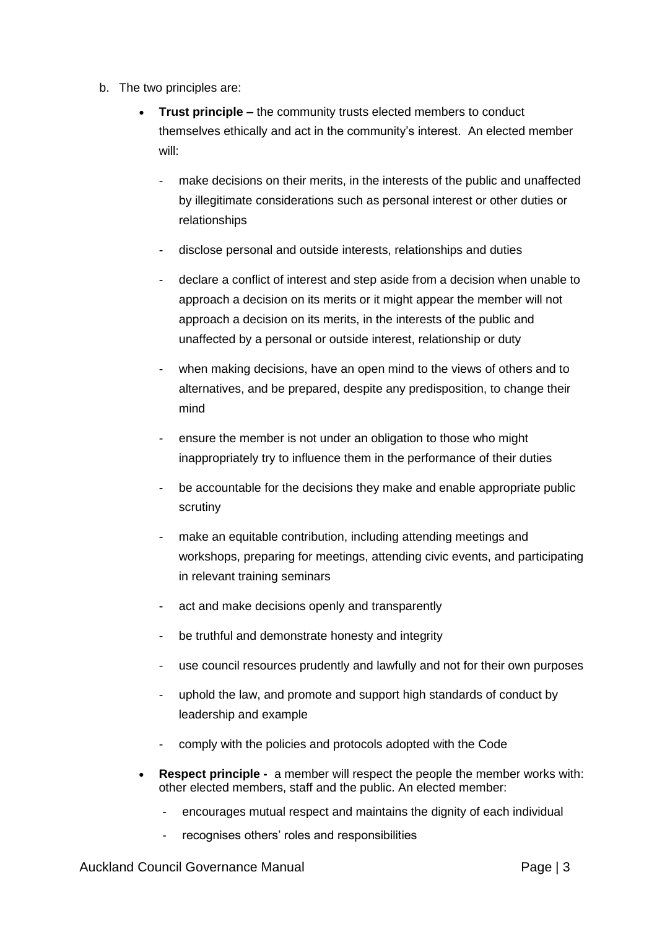- b. The two principles are:
	- **Trust principle –** the community trusts elected members to conduct themselves ethically and act in the community's interest. An elected member will:
		- make decisions on their merits, in the interests of the public and unaffected by illegitimate considerations such as personal interest or other duties or relationships
		- disclose personal and outside interests, relationships and duties
		- declare a conflict of interest and step aside from a decision when unable to approach a decision on its merits or it might appear the member will not approach a decision on its merits, in the interests of the public and unaffected by a personal or outside interest, relationship or duty
		- when making decisions, have an open mind to the views of others and to alternatives, and be prepared, despite any predisposition, to change their mind
		- ensure the member is not under an obligation to those who might inappropriately try to influence them in the performance of their duties
		- be accountable for the decisions they make and enable appropriate public scrutiny
		- make an equitable contribution, including attending meetings and workshops, preparing for meetings, attending civic events, and participating in relevant training seminars
		- act and make decisions openly and transparently
		- be truthful and demonstrate honesty and integrity
		- use council resources prudently and lawfully and not for their own purposes
		- uphold the law, and promote and support high standards of conduct by leadership and example
		- comply with the policies and protocols adopted with the Code
	- **Respect principle -** a member will respect the people the member works with: other elected members, staff and the public. An elected member:
		- encourages mutual respect and maintains the dignity of each individual
		- recognises others' roles and responsibilities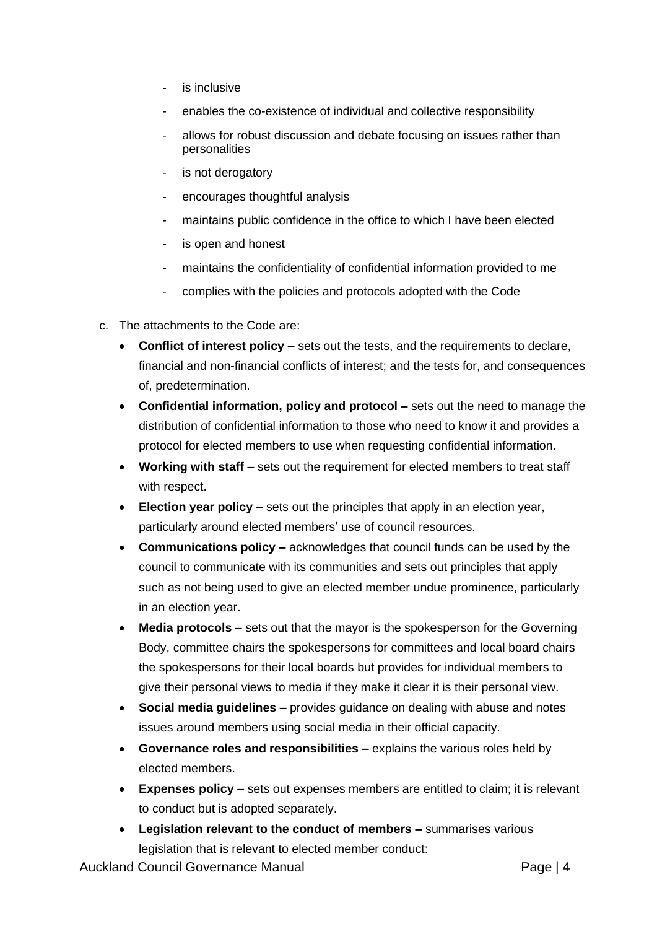- is inclusive
- enables the co-existence of individual and collective responsibility
- allows for robust discussion and debate focusing on issues rather than personalities
- is not derogatory
- encourages thoughtful analysis
- maintains public confidence in the office to which I have been elected
- is open and honest
- maintains the confidentiality of confidential information provided to me
- complies with the policies and protocols adopted with the Code
- c. The attachments to the Code are:
	- **Conflict of interest policy –** sets out the tests, and the requirements to declare, financial and non-financial conflicts of interest; and the tests for, and consequences of, predetermination.
	- **Confidential information, policy and protocol –** sets out the need to manage the distribution of confidential information to those who need to know it and provides a protocol for elected members to use when requesting confidential information.
	- **Working with staff –** sets out the requirement for elected members to treat staff with respect.
	- **Election year policy –** sets out the principles that apply in an election year, particularly around elected members' use of council resources.
	- **Communications policy –** acknowledges that council funds can be used by the council to communicate with its communities and sets out principles that apply such as not being used to give an elected member undue prominence, particularly in an election year.
	- **Media protocols –** sets out that the mayor is the spokesperson for the Governing Body, committee chairs the spokespersons for committees and local board chairs the spokespersons for their local boards but provides for individual members to give their personal views to media if they make it clear it is their personal view.
	- **Social media guidelines –** provides guidance on dealing with abuse and notes issues around members using social media in their official capacity.
	- **Governance roles and responsibilities –** explains the various roles held by elected members.
	- **Expenses policy –** sets out expenses members are entitled to claim; it is relevant to conduct but is adopted separately.
	- **Legislation relevant to the conduct of members –** summarises various legislation that is relevant to elected member conduct:

Auckland Council Governance Manual **Page 14** Page | 4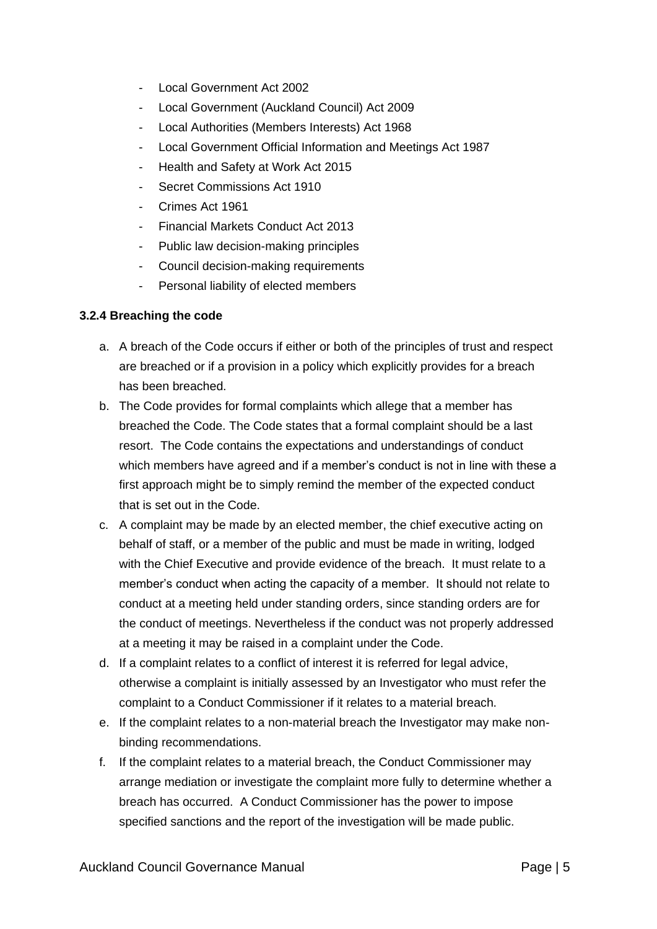- Local Government Act 2002
- Local Government (Auckland Council) Act 2009
- Local Authorities (Members Interests) Act 1968
- Local Government Official Information and Meetings Act 1987
- Health and Safety at Work Act 2015
- Secret Commissions Act 1910
- Crimes Act 1961
- Financial Markets Conduct Act 2013
- Public law decision-making principles
- Council decision-making requirements
- Personal liability of elected members

#### **3.2.4 Breaching the code**

- a. A breach of the Code occurs if either or both of the principles of trust and respect are breached or if a provision in a policy which explicitly provides for a breach has been breached.
- b. The Code provides for formal complaints which allege that a member has breached the Code. The Code states that a formal complaint should be a last resort. The Code contains the expectations and understandings of conduct which members have agreed and if a member's conduct is not in line with these a first approach might be to simply remind the member of the expected conduct that is set out in the Code.
- c. A complaint may be made by an elected member, the chief executive acting on behalf of staff, or a member of the public and must be made in writing, lodged with the Chief Executive and provide evidence of the breach. It must relate to a member's conduct when acting the capacity of a member. It should not relate to conduct at a meeting held under standing orders, since standing orders are for the conduct of meetings. Nevertheless if the conduct was not properly addressed at a meeting it may be raised in a complaint under the Code.
- d. If a complaint relates to a conflict of interest it is referred for legal advice, otherwise a complaint is initially assessed by an Investigator who must refer the complaint to a Conduct Commissioner if it relates to a material breach.
- e. If the complaint relates to a non-material breach the Investigator may make nonbinding recommendations.
- f. If the complaint relates to a material breach, the Conduct Commissioner may arrange mediation or investigate the complaint more fully to determine whether a breach has occurred. A Conduct Commissioner has the power to impose specified sanctions and the report of the investigation will be made public.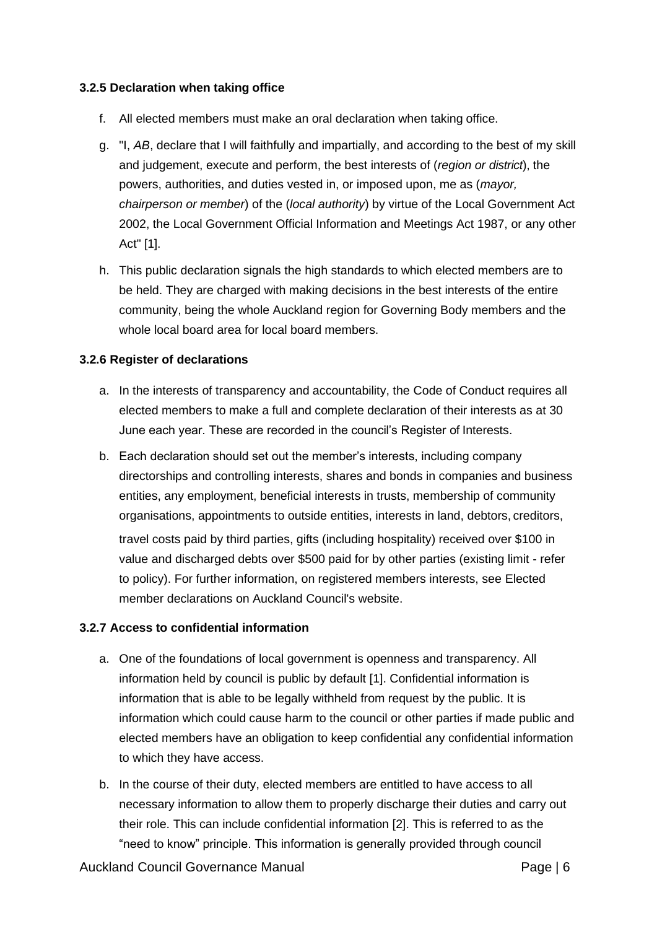#### <span id="page-5-0"></span>**3.2.5 Declaration when taking office**

- f. All elected members must make an oral declaration when taking office.
- g. "I, *AB*, declare that I will faithfully and impartially, and according to the best of my skill and judgement, execute and perform, the best interests of (*region or district*), the powers, authorities, and duties vested in, or imposed upon, me as (*mayor, chairperson or member*) of the (*local authority*) by virtue of the [Local Government Act](http://www.legislation.govt.nz/act/public/2002/0084/latest/DLM170873.html) [2002,](http://www.legislation.govt.nz/act/public/2002/0084/latest/DLM170873.html) the [Local Government Official Information and Meetings Act 1987, o](http://www.legislation.govt.nz/act/public/1987/0174/latest/DLM122242.html)r any other Act" [\[1\].](http://governance.aucklandcouncil.govt.nz/3-Elected-Members/Footnotes/%233.2.5)
- h. This public declaration signals the high standards to which elected members are to be held. They are charged with making decisions in the best interests of the entire community, being the whole Auckland region for Governing Body members and the whole local board area for local board members.

#### **3.2.6 Register of declarations**

- a. In the interests of transparency and accountability, the [Code of Conduct r](http://www.aucklandcouncil.govt.nz/sitecollectiondocuments/aboutcouncil/governingbody/codeofconductelectedmembers.pdf)equires all elected members to make a full and complete declaration of their interests as at 30 June each year. These are recorded in the council's Register of Interests.
- b. Each declaration should set out the member's interests, including company directorships and controlling interests, shares and bonds in companies and business entities, any employment, beneficial interests in trusts, membership of community organisations, appointments to outside entities, interests in land, debtors, creditors, travel costs paid by third parties, gifts (including hospitality) received over \$100 in value and discharged debts over \$500 paid for by other parties (existing limit - refer to policy). For further information, on registered members interests, see [Elected](http://www.aucklandcouncil.govt.nz/en/aboutcouncil/representativesbodies/electedrepresentatives/pages/electedmemberdeclarationssearch.aspx) [member declarations o](http://www.aucklandcouncil.govt.nz/en/aboutcouncil/representativesbodies/electedrepresentatives/pages/electedmemberdeclarationssearch.aspx)n Auckland Council's website.

#### **3.2.7 Access to confidential information**

- a. One of the foundations of local government is openness and transparency. All information held by council is public by default [\[1\].](http://governance.aucklandcouncil.govt.nz/3-elected-members/footnotes/%233.2.7) Confidential information is information that is able to be legally withheld from request by the public. It is information which could cause harm to the council or other parties if made public and elected members have an obligation to keep confidential any confidential information to which they have access.
- b. In the course of their duty, elected members are entitled to have access to all necessary information to allow them to properly discharge their duties and carry out their role. This can include confidential information [\[2\].](http://governance.aucklandcouncil.govt.nz/3-elected-members/footnotes/%233.2.7) This is referred to as the "need to know" principle. This information is generally provided through council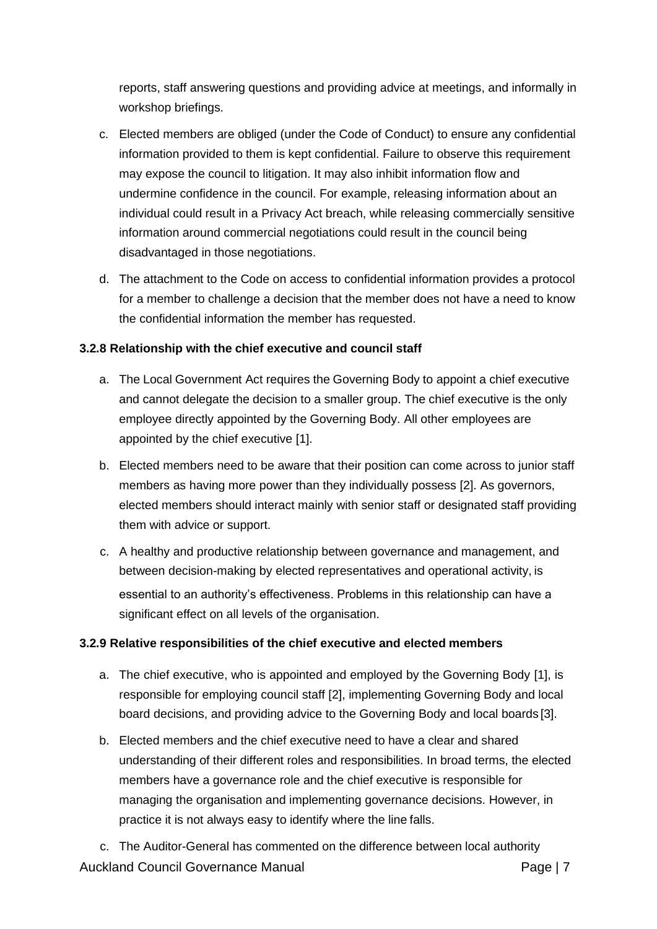reports, staff answering questions and providing advice at meetings, and informally in workshop briefings.

- c. Elected members are obliged (under the Code of Conduct) to ensure any confidential information provided to them is kept confidential. Failure to observe this requirement may expose the council to litigation. It may also inhibit information flow and undermine confidence in the council. For example, releasing information about an individual could result in a [Privacy Act b](http://www.legislation.govt.nz/act/public/1993/0028/latest/whole.html)reach, while releasing commercially sensitive information around commercial negotiations could result in the council being disadvantaged in those negotiations.
- d. The attachment to the Code on access to confidential information provides a protocol for a member to challenge a decision that the member does not have a need to know the confidential information the member has requested.

#### **3.2.8 Relationship with the chief executive and council staff**

- a. The Local [Government](http://www.legislation.govt.nz/act/public/2002/0084/latest/DLM170873.html) Act requires the Governing Body to appoint a chief executive and cannot delegate the decision to a smaller group. The chief executive is the only employee directly appointed by the Governing Body. All other employees are appointed by the chief executive [\[1\].](http://governance.aucklandcouncil.govt.nz/3-elected-members/footnotes/%233.2.8)
- b. Elected members need to be aware that their position can come across to junior staff members as having more power than they individually possess [\[2\]. A](http://governance.aucklandcouncil.govt.nz/3-elected-members/footnotes/%233.2.8)s governors, elected members should interact mainly with senior staff or designated staff providing them with advice or support.
- c. A healthy and productive relationship between governance and management, and between decision-making by elected representatives and operational activity, is essential to an authority's effectiveness. Problems in this relationship can have a significant effect on all levels of the organisation.

#### **3.2.9 Relative responsibilities of the chief executive and elected members**

- a. The chief executive, who is appointed and employed by the Governing Body [\[1\],](https://aklc-governancemanual-umbraco-web-aklc-staging.azurewebsites.net/4-the-mayor-of-auckland-and-the-office-of-the-mayor/footnotes/%234.5.2) is responsible for employing council staff [\[2\], i](https://aklc-governancemanual-umbraco-web-aklc-staging.azurewebsites.net/4-the-mayor-of-auckland-and-the-office-of-the-mayor/footnotes/%234.5.2)mplementing Governing Body and local board decisions, and providing advice to the Governing Body and local boards [\[3\].](https://aklc-governancemanual-umbraco-web-aklc-staging.azurewebsites.net/4-the-mayor-of-auckland-and-the-office-of-the-mayor/footnotes/%234.5.2)
- b. Elected members and the chief executive need to have a clear and shared understanding of their different roles and responsibilities. In broad terms, the elected members have a governance role and the chief executive is responsible for managing the organisation and implementing governance decisions. However, in practice it is not always easy to identify where the line falls.

Auckland Council Governance Manual **Page 17** Page | 7 c. The Auditor-General has commented on the difference between local authority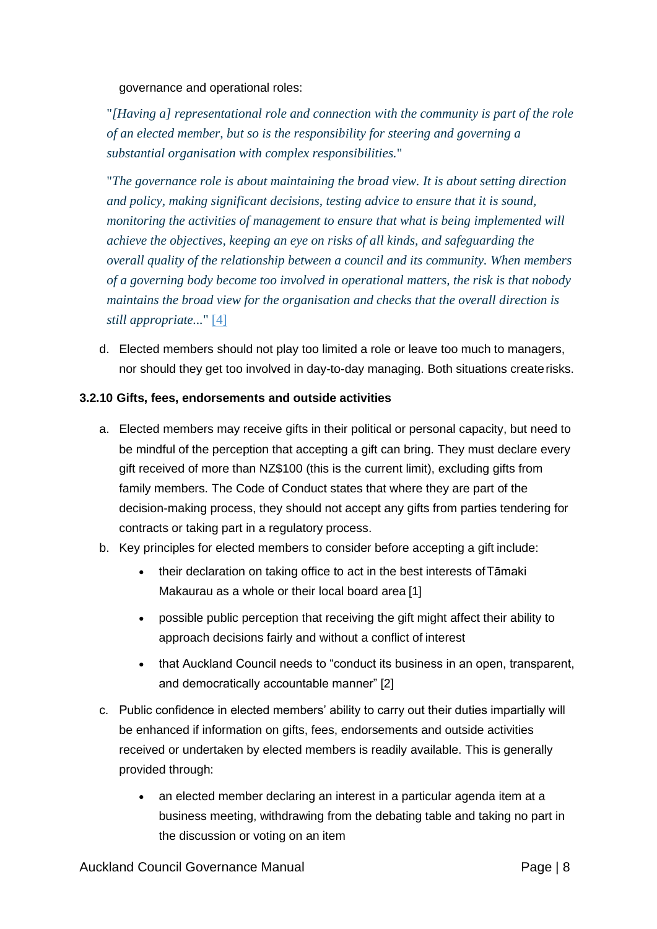governance and operational roles:

"*[Having a] representational role and connection with the community is part of the role of an elected member, but so is the responsibility for steering and governing a substantial organisation with complex responsibilities.*"

"*The governance role is about maintaining the broad view. It is about setting direction and policy, making significant decisions, testing advice to ensure that it is sound, monitoring the activities of management to ensure that what is being implemented will achieve the objectives, keeping an eye on risks of all kinds, and safeguarding the overall quality of the relationship between a council and its community. When members of a governing body become too involved in operational matters, the risk is that nobody maintains the broad view for the organisation and checks that the overall direction is still [appropriate...](http://governance.aucklandcouncil.govt.nz/3-elected-members/footnotes/%233.2.9)*" [4]

d. Elected members should not play too limited a role or leave too much to managers, nor should they get too involved in day-to-day managing. Both situations createrisks.

#### **3.2.10 Gifts, fees, endorsements and outside activities**

- a. Elected members may receive gifts in their political or personal capacity, but need to be mindful of the perception that accepting a gift can bring. They must declare every gift received of more than NZ\$100 (this is the current limit), excluding gifts from family members. The [Code of Conduct s](http://www.aucklandcouncil.govt.nz/EN/AboutCouncil/HowCouncilWorks/PerformanceAndTransparency/Documents/codeofconduct.pdf)tates that where they are part of the decision-making process, they should not accept any gifts from parties tendering for contracts or taking part in a regulatory process.
- b. Key principles for elected members to consider before accepting a gift include:
	- their declaration on taking office to act in the best interests of Tāmaki Makaurau as a whole or their [loca](http://governance.aucklandcouncil.govt.nz/3-elected-members/footnotes/%233.2.10)l board area [1]
	- possible public perception that receiving the gift might affect their ability to approach decisions fairly and without a conflict of interest
	- that Auckland Council needs to "conduct its business in an open, transparent, and democratically accountable manner" [\[2\]](http://governance.aucklandcouncil.govt.nz/3-elected-members/footnotes/%233.2.10)
- c. Public confidence in elected members' ability to carry out their duties impartially will be enhanced if information on gifts, fees, endorsements and outside activities received or undertaken by elected members is readily available. This is generally provided through:
	- an elected member declaring an interest in a particular agenda item at a business meeting, withdrawing from the debating table and taking no part in the discussion or voting on an item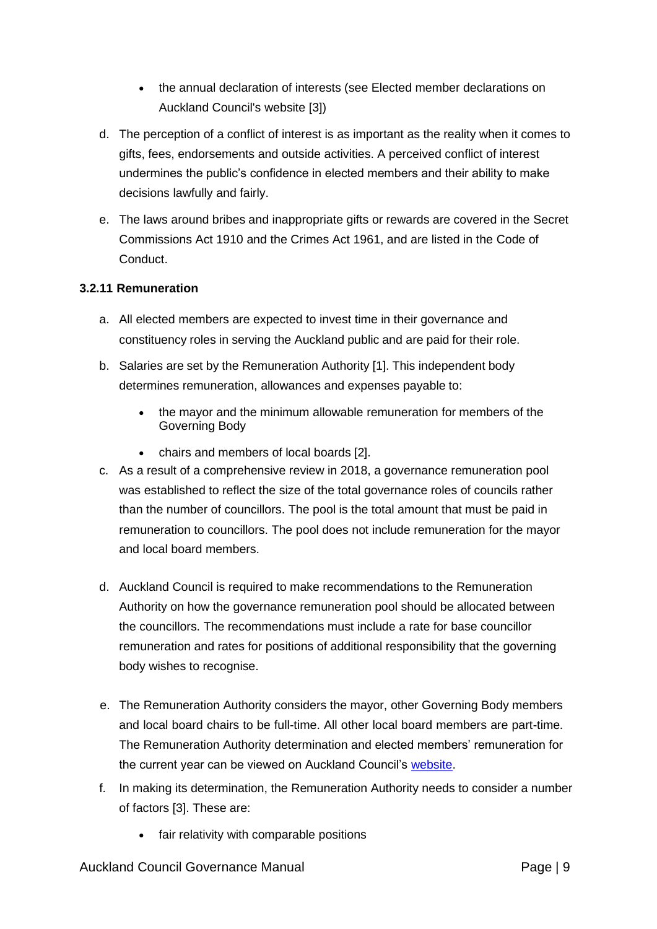- the annual declaration of interests (see [Elected member declarations o](http://www.aucklandcouncil.govt.nz/en/aboutcouncil/representativesbodies/electedrepresentatives/Pages/electedmemberdeclarationssearch.aspx)n Auckland Council's website [\[3\]\)](http://governance.aucklandcouncil.govt.nz/3-elected-members/footnotes/%233.2.10)
- d. The perception of a conflict of interest is as important as the reality when it comes to gifts, fees, endorsements and outside activities. A perceived conflict of interest undermines the public's confidence in elected members and their ability to make decisions lawfully and fairly.
- e. The laws around bribes and inappropriate gifts or rewards are covered in the [Secret](http://www.legislation.govt.nz/act/public/1910/0040/latest/DLM177643.html) [Commissions Act 1910 a](http://www.legislation.govt.nz/act/public/1910/0040/latest/DLM177643.html)nd the [Crimes Act 1961,](http://legislation.govt.nz/act/public/1961/0043/latest/DLM327382.html) and are listed in the [Code of](http://www.aucklandcouncil.govt.nz/sitecollectiondocuments/aboutcouncil/governingbody/codeofconductelectedmembers.pdf) [Conduct.](http://www.aucklandcouncil.govt.nz/sitecollectiondocuments/aboutcouncil/governingbody/codeofconductelectedmembers.pdf)

#### **3.2.11 Remuneration**

- a. All elected members are expected to invest time in their governance and constituency roles in serving the Auckland public and are paid for their role.
- b. Salaries are set by the Remuneration Authority [\[1\].](http://governance.aucklandcouncil.govt.nz/3-elected-members/footnotes/%233.2.11) This independent body determines remuneration, allowances and expenses payable to:
	- the mayor and the minimum allowable remuneration for members of the Governing Body
	- chairs and members of local boards [\[2\].](http://governance.aucklandcouncil.govt.nz/3-elected-members/footnotes/%233.2.11)
- c. As a result of a comprehensive review in 2018, a governance remuneration pool was established to reflect the size of the total governance roles of councils rather than the number of councillors. The pool is the total amount that must be paid in remuneration to councillors. The pool does not include remuneration for the mayor and local board members.
- d. Auckland Council is required to make recommendations to the Remuneration Authority on how the governance remuneration pool should be allocated between the councillors. The recommendations must include a rate for base councillor remuneration and rates for positions of additional responsibility that the governing body wishes to recognise.
- e. The Remuneration Authority considers the mayor, other Governing Body members and local board chairs to be full-time. All other local board members are part-time. The Remuneration Authority determination and elected members' remuneration for the current year can be viewed on Auckland Council's [website.](https://www.aucklandcouncil.govt.nz/about-auckland-council/how-auckland-council-works/elected-members-remuneration-declarations-interest/Pages/elected-members-remuneration.aspx)
- f. In making its determination, the Remuneration Authority needs to consider a number of factors [\[3\].](http://governance.aucklandcouncil.govt.nz/3-elected-members/footnotes/%233.2.11) These are:
	- fair relativity with comparable positions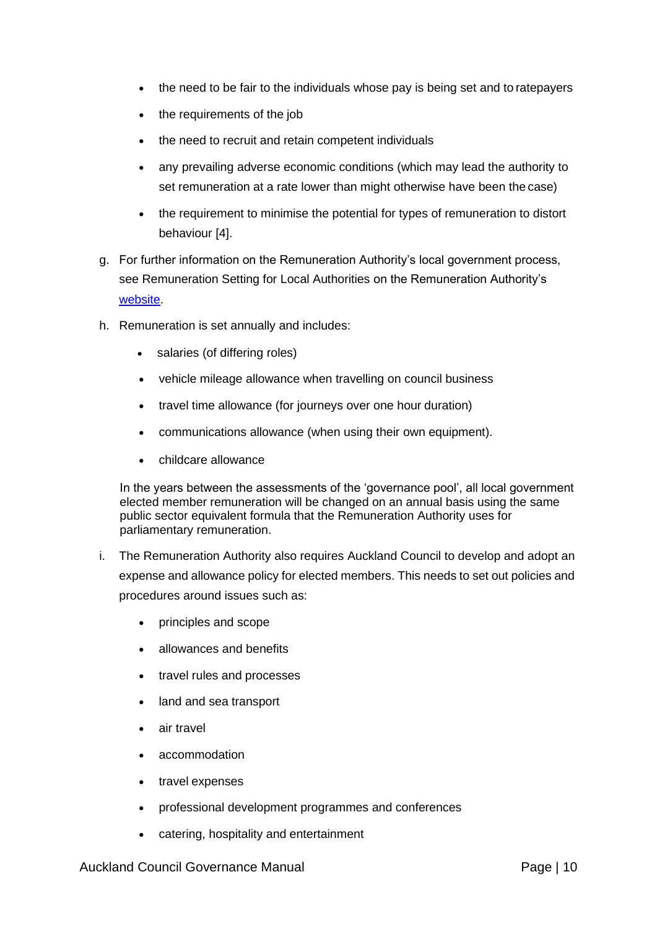- the need to be fair to the individuals whose pay is being set and to ratepayers
- the requirements of the job
- the need to recruit and retain competent individuals
- any prevailing adverse economic conditions (which may lead the authority to set remuneration at a rate lower than might otherwise have been the case)
- the requirement to minimise the potential for types of remuneration to distort behaviour [\[4\].](http://governance.aucklandcouncil.govt.nz/3-elected-members/footnotes/%233.2.11)
- g. For further information on the Remuneration Authority's local government process, see [Remuneration Setting for Local Authorities o](http://remauthority.govt.nz/assets/REM-local-govt/Remuneration-Setting-for-Local-Authorities-v2.0.pdf)n the Remuneration Authority's [website.](http://remauthority.govt.nz/assets/REM-local-govt/Remuneration-Setting-for-Local-Authorities-v2.0.pdf)
- h. Remuneration is set annually and includes:
	- salaries (of differing roles)
	- vehicle mileage allowance when travelling on council business
	- travel time allowance (for journeys over one hour duration)
	- communications allowance (when using their own equipment).
	- childcare allowance

In the years between the assessments of the 'governance pool', all local government elected member remuneration will be changed on an annual basis using the same public sector equivalent formula that the Remuneration Authority uses for parliamentary remuneration.

- i. The Remuneration Authority also requires Auckland Council to develop and adopt an expense and allowance policy for elected members. This needs to set out policies and procedures around issues such as:
	- principles and scope
	- allowances and benefits
	- travel rules and processes
	- land and sea transport
	- air travel
	- accommodation
	- travel expenses
	- professional development programmes and conferences
	- catering, hospitality and entertainment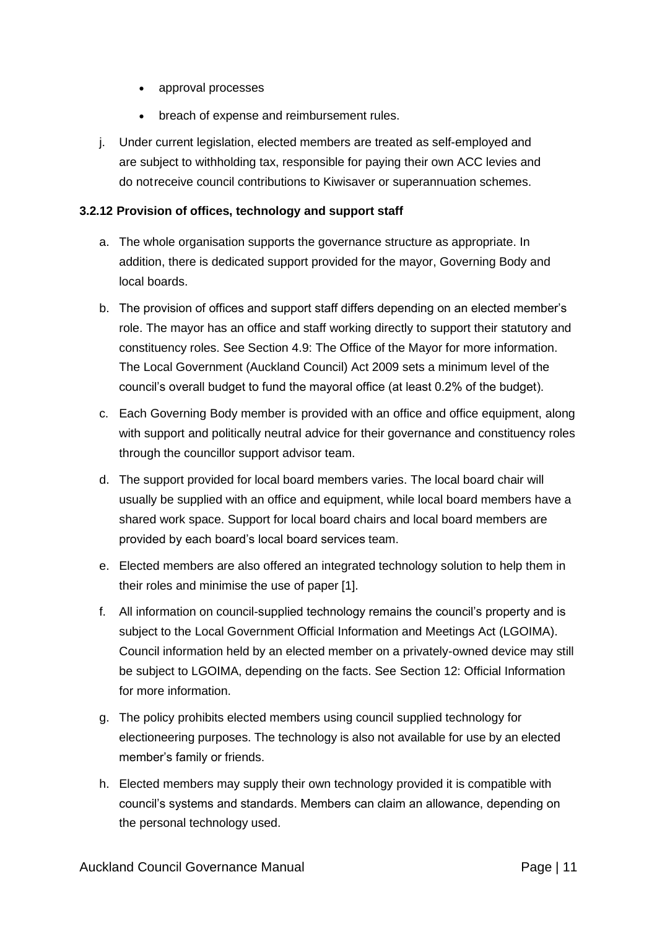- approval processes
- breach of expense and reimbursement rules.
- j. Under current legislation, elected members are treated as self-employed and are subject to withholding tax, responsible for paying their own ACC levies and do notreceive council contributions to Kiwisaver or superannuation schemes.

#### **3.2.12 Provision of offices, technology and support staff**

- a. The whole organisation supports the governance structure as appropriate. In addition, there is dedicated support provided for the mayor, Governing Body and local boards.
- b. The provision of offices and support staff differs depending on an elected member's role. The mayor has an office and staff working directly to support their statutory and constituency roles. See [Section 4.9: The Office of the Mayor f](http://governance.aucklandcouncil.govt.nz/4-the-mayor-of-auckland/the-office-of-the-mayor/)or more information. The [Local Government \(Auckland Council\) Act 2009 s](http://www.legislation.govt.nz/act/public/2009/0032/latest/DLM2044909.html)ets a minimum level of the council's overall budget to fund the mayoral office (at least 0.2% of the budget).
- c. Each Governing Body member is provided with an office and office equipment, along with support and politically neutral advice for their governance and constituency roles through the councillor support advisor team.
- d. The support provided for local board members varies. The local board chair will usually be supplied with an office and equipment, while local board members have a shared work space. Support for local board chairs and local board members are provided by each board's local board services team.
- e. Elected members are also offered an integrated technology solution to help them in their roles and minimise the use of paper [\[1\].](http://governance.aucklandcouncil.govt.nz/3-elected-members/footnotes/%233.2.12)
- f. All information on council-supplied technology remains the council's property and is subject to the [Local Government Official Information and Meetings Act \(](http://www.legislation.govt.nz/act/public/1987/0174/latest/DLM122242.html)LGOIMA). Council information held by an elected member on a privately-owned device may still be subject to LGOIMA, depending on the facts. See [Section 12: Official Information](http://governance.aucklandcouncil.govt.nz/12-official-information/) for more information.
- g. The policy prohibits elected members using council supplied technology for electioneering purposes. The technology is also not available for use by an elected member's family or friends.
- h. Elected members may supply their own technology provided it is compatible with council's systems and standards. Members can claim an allowance, depending on the personal technology used.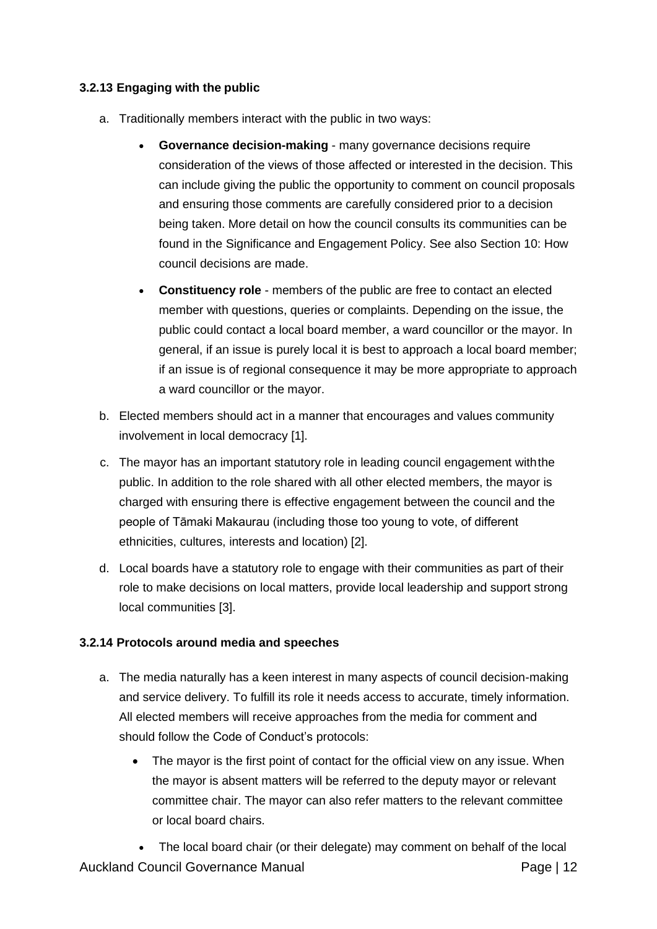## **3.2.13 Engaging with the public**

- a. Traditionally members interact with the public in two ways:
	- **Governance decision-making**  many governance decisions require consideration of the views of those affected or interested in the decision. This can include giving the public the opportunity to comment on council proposals and ensuring those comments are carefully considered prior to a decision being taken. More detail on how the council consults its communities can be found in the [Significance and Engagement Policy. S](http://www.aucklandcouncil.govt.nz/EN/planspoliciesprojects/councilpolicies/Documents/significanceengagementpolicy.pdf)ee also [Section 10: How](http://governance.aucklandcouncil.govt.nz/10-how-council-decisions-are-made/) [council decisions are](http://governance.aucklandcouncil.govt.nz/10-how-council-decisions-are-made/) made.
	- **Constituency role**  members of the public are free to contact an elected member with questions, queries or complaints. Depending on the issue, the public could contact a local board member, a ward councillor or the mayor. In general, if an issue is purely local it is best to approach a local board member; if an issue is of regional consequence it may be more appropriate to approach a ward councillor or the mayor.
- b. Elected members should act in a manner that encourages and values community involvement in local democracy [\[1\].](http://governance.aucklandcouncil.govt.nz/3-elected-members/footnotes/%233.2.13)
- c. [The mayor h](http://governance.aucklandcouncil.govt.nz/4-the-mayor-of-auckland/)as an important statutory role in leading council engagement withthe public. In addition to the role shared with all other elected members, the mayor is charged with ensuring there is effective engagement between the council and the people of Tāmaki Makaurau (including those too young to vote, of different ethnicities, cultures, interests and location) [\[2\].](http://governance.aucklandcouncil.govt.nz/3-elected-members/footnotes/%233.2.13)
- d. Local boards have a statutory role to engage with their communities as part of their role to make decisions on local matters, provide local leadership and support strong local communities [\[3\].](http://governance.aucklandcouncil.govt.nz/3-elected-members/footnotes/%233.2.13)

#### **3.2.14 Protocols around media and speeches**

- a. The media naturally has a keen interest in many aspects of council decision-making and service delivery. To fulfill its role it needs access to accurate, timely information. All elected members will receive approaches from the media for comment and should follow the [Code of Conduct's p](http://www.aucklandcouncil.govt.nz/sitecollectiondocuments/aboutcouncil/governingbody/codeofconductelectedmembers.pdf)rotocols:
	- The mayor is the first point of contact for the official view on any issue. When the mayor is absent matters will be referred to the deputy mayor or relevant committee chair. The mayor can also refer matters to the relevant committee or local board chairs.

Auckland Council Governance Manual **Page 12** Page | 12 • The local board chair (or their delegate) may comment on behalf of the local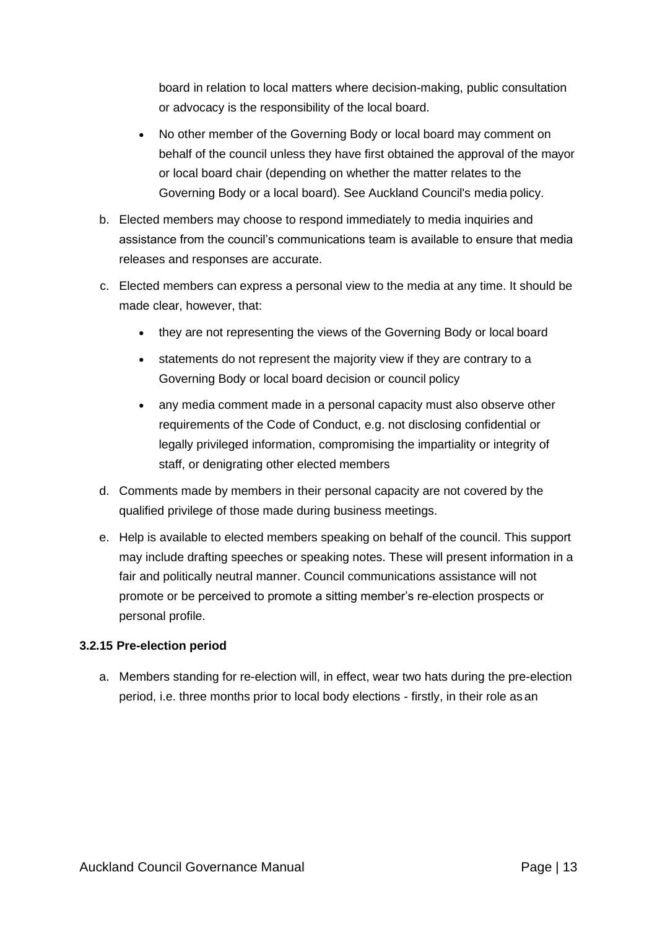board in relation to local matters where decision-making, public consultation or advocacy is the responsibility of the local board.

- No other member of the Governing Body or local board may comment on behalf of the council unless they have first obtained the approval of the mayor or local board chair (depending on whether the matter relates to the Governing Body or a local board). See Auckland Council's [media](https://acintranet.aklc.govt.nz/EN/departments/communications/Communications%20and%20public%20affairs%20policies%20and%20pro/Auckland%20Council%20News%20Media%20Policy%202013.pdf) policy.
- b. Elected members may choose to respond immediately to media inquiries and assistance from the council's communications team is available to ensure that media releases and responses are accurate.
- c. Elected members can express a personal view to the media at any time. It should be made clear, however, that:
	- they are not representing the views of the Governing Body or local board
	- statements do not represent the majority view if they are contrary to a Governing Body or local board decision or council policy
	- any media comment made in a personal capacity must also observe other requirements of the Code of Conduct, e.g. not disclosing confidential or legally privileged information, compromising the impartiality or integrity of staff, or denigrating other elected members
- d. Comments made by members in their personal capacity are not covered by the qualified privilege of those made during business meetings.
- e. Help is available to elected members speaking on behalf of the council. This support may include drafting speeches or speaking notes. These will present information in a fair and politically neutral manner. Council communications assistance will not promote or be perceived to promote a sitting member's re-election prospects or personal profile.

#### **3.2.15 Pre-election period**

a. Members standing for re-election will, in effect, wear two hats during the pre-election period, i.e. three months prior to local body elections - firstly, in their role as an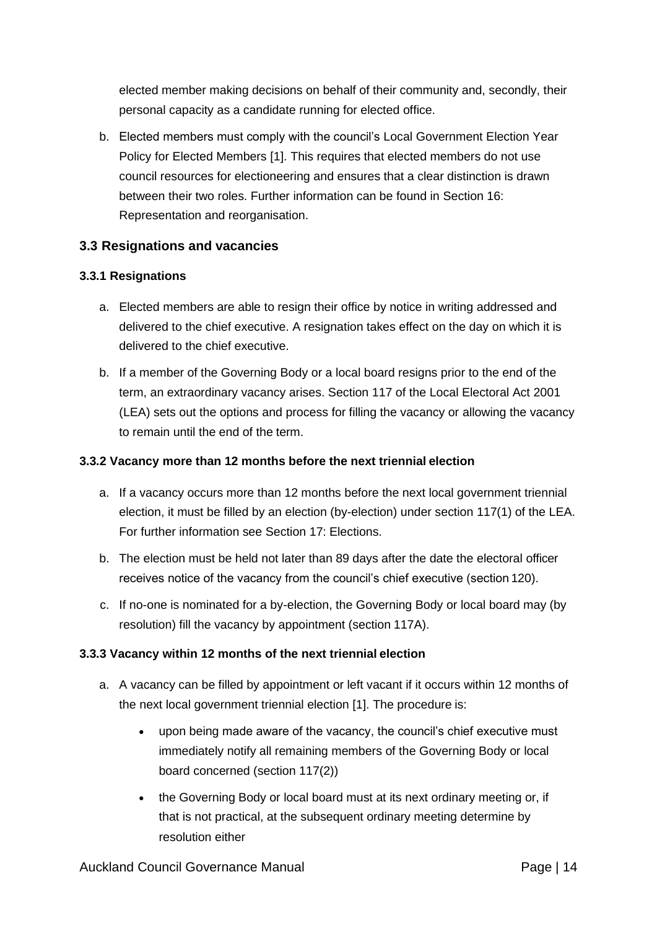elected member making decisions on behalf of their community and, secondly, their personal capacity as a candidate running for elected office.

b. Elected members must comply with the council's [Local Government Election Year](https://www.dia.govt.nz/Resource-material-Our-Policy-Advice-Areas-Local-Government-Policy) [Policy for Elected Members](https://www.dia.govt.nz/Resource-material-Our-Policy-Advice-Areas-Local-Government-Policy) [\[1\].](http://governance.aucklandcouncil.govt.nz/3-elected-members/footnotes/%233.2.15) This requires that elected members do not use council resources for electioneering and ensures that a clear distinction is drawn between their two roles. Further information can be found in [Section 16:](http://governance.aucklandcouncil.govt.nz/16-representation-and-reorganisation/) [Representation and](http://governance.aucklandcouncil.govt.nz/16-representation-and-reorganisation/) reorganisation.

## **3.3 [Resignations and](http://governance.aucklandcouncil.govt.nz/3-elected-members/resignations-and-vacancies/) vacancies**

#### **3.3.1 Resignations**

- a. Elected members are able to resign their office by notice in writing addressed and delivered to the chief executive. A resignation takes effect on the day on which it is delivered to the chief executive.
- b. If a member of the Governing Body or a local board resigns prior to the end of the term, an extraordinary vacancy arises. Section 117 of the [Local Electoral Act 2001](http://www.legislation.govt.nz/act/public/2001/0035/latest/whole.html) (LEA) sets out the options and process for filling the vacancy or allowing the vacancy to remain until the end of the term.

#### **3.3.2 Vacancy more than 12 months before the next triennial election**

- a. If a vacancy occurs more than 12 months before the next local government triennial election, it must be filled by an election (by-election) under section 117(1) of the [LEA.](http://www.legislation.govt.nz/act/public/2001/0035/latest/whole.html) For further information see [Section 17:](http://governance.aucklandcouncil.govt.nz/17-Elections/) Elections.
- b. The election must be held not later than 89 days after the date the electoral officer receives notice of the vacancy from the council's chief executive (section 120).
- c. If no-one is nominated for a by-election, the Governing Body or local board may (by resolution) fill the vacancy by appointment (section 117A).

#### **3.3.3 Vacancy within 12 months of the next triennial election**

- a. A vacancy can be filled by appointment or left vacant if it occurs within 12 months of the next local government triennial election [\[1\]. T](http://governance.aucklandcouncil.govt.nz/3-elected-members/footnotes/)he procedure is:
	- upon being made aware of the vacancy, the council's chief executive must immediately notify all remaining members of the Governing Body or local board concerned (section 117(2))
	- the Governing Body or local board must at its next ordinary meeting or, if that is not practical, at the subsequent ordinary meeting determine by resolution either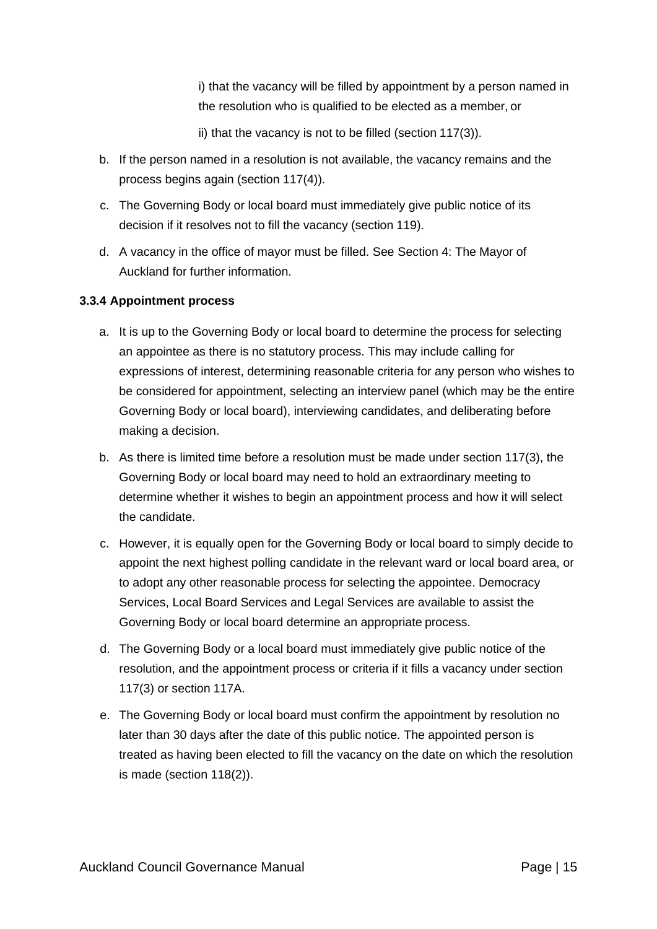i) that the vacancy will be filled by appointment by a person named in the resolution who is qualified to be elected as a member, or

ii) that the vacancy is not to be filled (section 117(3)).

- b. If the person named in a resolution is not available, the vacancy remains and the process begins again (section 117(4)).
- c. The Governing Body or local board must immediately give public notice of its decision if it resolves not to fill the vacancy (section 119).
- d. A vacancy in the office of mayor must be filled. See [Section 4: The Mayor of](http://governance.aucklandcouncil.govt.nz/4-the-mayor-of-auckland/) [Auckland f](http://governance.aucklandcouncil.govt.nz/4-the-mayor-of-auckland/)or further information.

#### **3.3.4 Appointment process**

- a. It is up to the Governing Body or local board to determine the process for selecting an appointee as there is no statutory process. This may include calling for expressions of interest, determining reasonable criteria for any person who wishes to be considered for appointment, selecting an interview panel (which may be the entire Governing Body or local board), interviewing candidates, and deliberating before making a decision.
- b. As there is limited time before a resolution must be made under section 117(3), the Governing Body or local board may need to hold an extraordinary meeting to determine whether it wishes to begin an appointment process and how it will select the candidate.
- c. However, it is equally open for the Governing Body or local board to simply decide to appoint the next highest polling candidate in the relevant ward or local board area, or to adopt any other reasonable process for selecting the appointee. Democracy Services, Local Board Services and Legal Services are available to assist the Governing Body or local board determine an appropriate process.
- d. The Governing Body or a local board must immediately give public notice of the resolution, and the appointment process or criteria if it fills a vacancy under section 117(3) or section 117A.
- e. The Governing Body or local board must confirm the appointment by resolution no later than 30 days after the date of this public notice. The appointed person is treated as having been elected to fill the vacancy on the date on which the resolution is made (section 118(2)).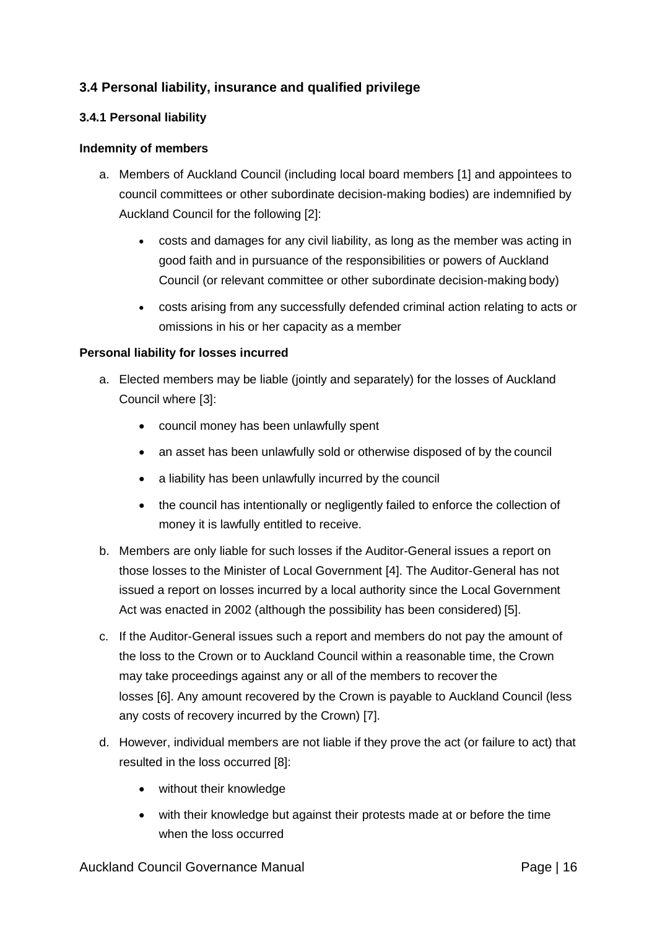## **3.4 [Personal liability, insurance and qualified](http://governance.aucklandcouncil.govt.nz/3-elected-members/personal-liability-insurance-and-qualified-privilege/) privilege**

#### **3.4.1 Personal liability**

#### **Indemnity of members**

- a. Members of Auckland Council (including local board members [\[1\] a](http://governance.aucklandcouncil.govt.nz/3-elected-members/footnotes/%233.4.1)nd appointees to council committees or other subordinate decision-making bodies) are indemnified by Auckland Council for the following [\[2\]:](http://governance.aucklandcouncil.govt.nz/3-elected-members/footnotes/%233.4.1)
	- costs and damages for any civil liability, as long as the member was acting in good faith and in pursuance of the responsibilities or powers of Auckland Council (or relevant committee or other subordinate decision-making body)
	- costs arising from any successfully defended criminal action relating to acts or omissions in his or her capacity as a member

#### **Personal liability for losses incurred**

- a. Elected members may be liable (jointly and separately) for the losses of Auckland Council where [\[3\]:](http://governance.aucklandcouncil.govt.nz/3-elected-members/footnotes/%233.4.1)
	- council money has been unlawfully spent
	- an asset has been unlawfully sold or otherwise disposed of by the council
	- a liability has been unlawfully incurred by the council
	- the council has intentionally or negligently failed to enforce the collection of money it is lawfully entitled to receive.
- b. Members are only liable for such losses if the Auditor-General issues a report on those losses to the Minister of Local Government [\[4\].](http://governance.aucklandcouncil.govt.nz/3-elected-members/footnotes/%233.4.1) The Auditor-General has not issued a report on losses incurred by a local authority since the [Local Government](http://www.legislation.govt.nz/act/public/2002/0084/latest/DLM170873.html) [Act w](http://www.legislation.govt.nz/act/public/2002/0084/latest/DLM170873.html)as enacted in 2002 (although the possibility has been considered) [\[5\].](http://governance.aucklandcouncil.govt.nz/3-elected-members/footnotes/%233.4.1)
- c. If the Auditor-General issues such a report and members do not pay the amount of the loss to the Crown or to Auckland Council within a reasonable time, the Crown may take proceedings against any or all of the members to recover the losses [\[6\].](http://governance.aucklandcouncil.govt.nz/3-elected-members/footnotes/%233.4.1) Any amount recovered by the Crown is payable to Auckland Council (less any costs of recovery incurred by the Crown) [\[7\].](http://governance.aucklandcouncil.govt.nz/3-elected-members/footnotes/%233.4.1)
- d. However, individual members are not liable if they prove the act (or failure to act) that resulted in the loss occurred [\[8\]:](http://governance.aucklandcouncil.govt.nz/3-elected-members/footnotes/%233.4.1)
	- without their knowledge
	- with their knowledge but against their protests made at or before the time when the loss occurred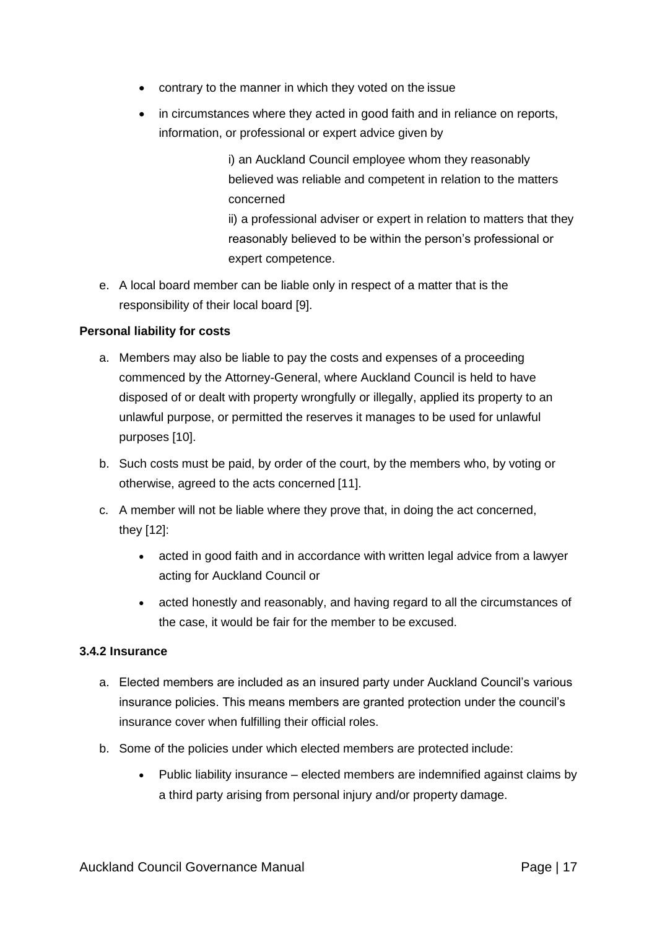- contrary to the manner in which they voted on the issue
- in circumstances where they acted in good faith and in reliance on reports, information, or professional or expert advice given by

i) an Auckland Council employee whom they reasonably believed was reliable and competent in relation to the matters concerned

ii) a professional adviser or expert in relation to matters that they reasonably believed to be within the person's professional or expert competence.

e. A local board member can be liable only in respect of a matter that is the responsibility of their local board [\[9\].](http://governance.aucklandcouncil.govt.nz/3-elected-members/footnotes/%233.4.1)

#### **Personal liability for costs**

- a. Members may also be liable to pay the costs and expenses of a proceeding commenced by the Attorney-General, where Auckland Council is held to have disposed of or dealt with property wrongfully or illegally, applied its property to an unlawful purpose, or permitted the reserves it manages to be used for unlawful purposes [\[10\].](http://governance.aucklandcouncil.govt.nz/3-elected-members/footnotes/%233.4.1)
- b. Such costs must be paid, by order of the court, by the members who, by voting or otherwise, agreed to the acts concerned [\[11\].](http://governance.aucklandcouncil.govt.nz/3-elected-members/footnotes/%233.4.1)
- c. A member will not be liable where they prove that, in doing the act concerned, they [\[12\]:](http://governance.aucklandcouncil.govt.nz/3-elected-members/footnotes/%233.4.1)
	- acted in good faith and in accordance with written legal advice from a lawyer acting for Auckland Council or
	- acted honestly and reasonably, and having regard to all the circumstances of the case, it would be fair for the member to be excused.

#### **3.4.2 Insurance**

- a. Elected members are included as an insured party under Auckland Council's various insurance policies. This means members are granted protection under the council's insurance cover when fulfilling their official roles.
- b. Some of the policies under which elected members are protected include:
	- Public liability insurance elected members are indemnified against claims by a third party arising from personal injury and/or property damage.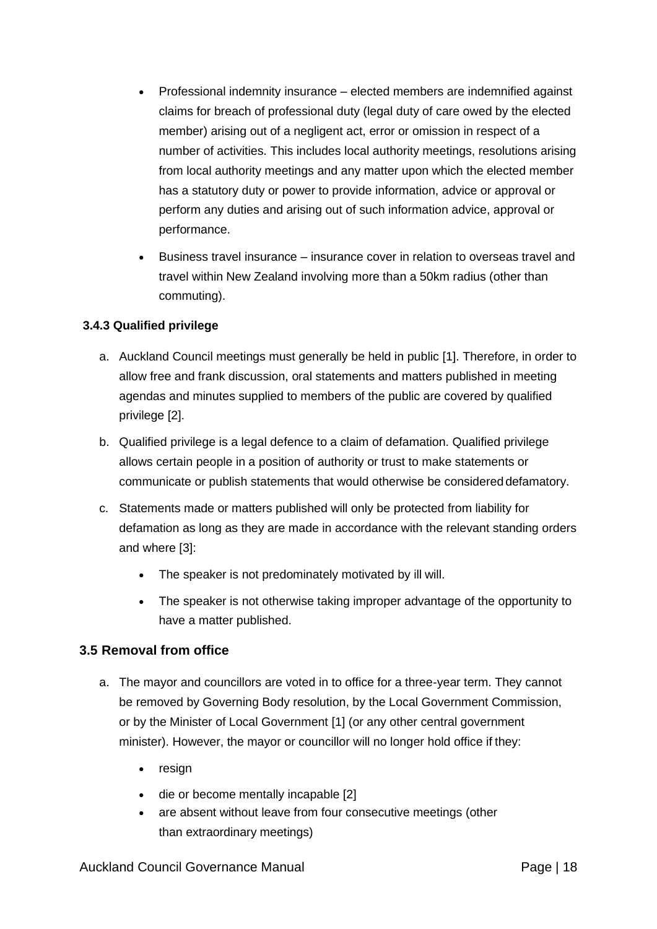- Professional indemnity insurance elected members are indemnified against claims for breach of professional duty (legal duty of care owed by the elected member) arising out of a negligent act, error or omission in respect of a number of activities. This includes local authority meetings, resolutions arising from local authority meetings and any matter upon which the elected member has a statutory duty or power to provide information, advice or approval or perform any duties and arising out of such information advice, approval or performance.
- Business travel insurance insurance cover in relation to overseas travel and travel within New Zealand involving more than a 50km radius (other than commuting).

## **3.4.3 Qualified privilege**

- a. Auckland Council meetings must generally be held in public [\[1\].](http://governance.aucklandcouncil.govt.nz/3-elected-members/footnotes/%233.4.3) Therefore, in order to allow free and frank discussion, oral statements and matters published in meeting agendas and minutes supplied to members of the public are covered by qualified privilege [\[2\].](http://governance.aucklandcouncil.govt.nz/3-elected-members/footnotes/%233.4.3)
- b. Qualified privilege is a legal defence to a claim of defamation. Qualified privilege allows certain people in a position of authority or trust to make statements or communicate or publish statements that would otherwise be considered defamatory.
- c. Statements made or matters published will only be protected from liability for defamation as long as they are made in accordance with the relevant standing orders and where [\[3\]:](http://governance.aucklandcouncil.govt.nz/3-elected-members/footnotes/%233.4.3)
	- The speaker is not predominately motivated by ill will.
	- The speaker is not otherwise taking improper advantage of the opportunity to have a matter published.

## **3.5 Removal from office**

- a. The mayor and councillors are voted in to office for a three-year term. They cannot be removed by Governing Body resolution, by the Local Government Commission, or by the Minister of Local Government [\[1\] \(](http://governance.aucklandcouncil.govt.nz/3-elected-members/footnotes/%233.5)or any other central government minister). However, the mayor or councillor will no longer hold office if they:
	- resign
	- die or become mentally incapable [\[2\]](http://governance.aucklandcouncil.govt.nz/3-elected-members/footnotes/%233.5)
	- are absent without leave from four consecutive meetings (other than extraordinary meetings)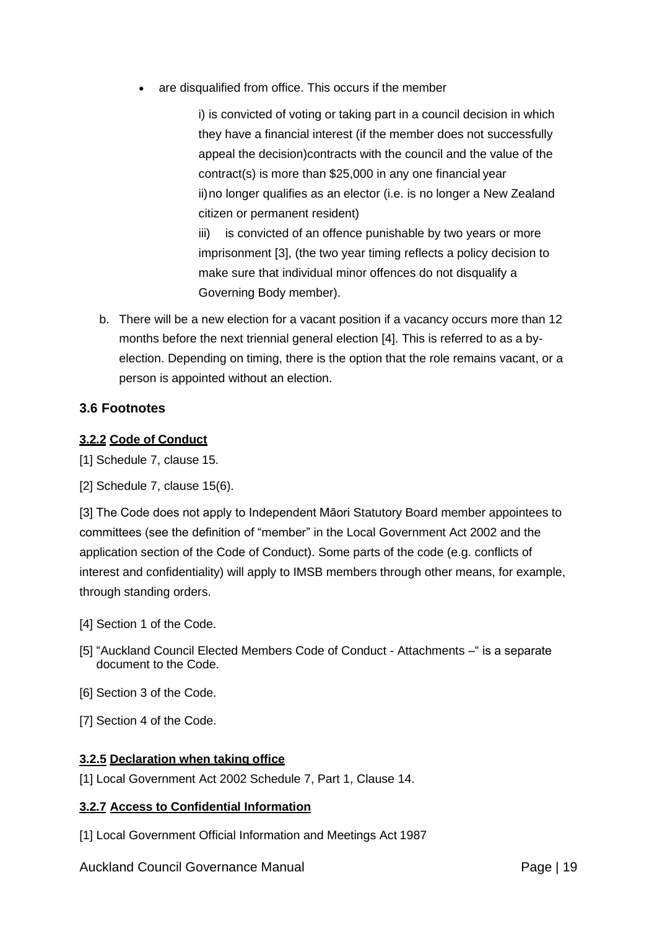are disqualified from office. This occurs if the member

i) is convicted of voting or taking part in a council decision in which they have a financial interest (if the member does not successfully appeal the decision)contracts with the council and the value of the contract(s) is more than \$25,000 in any one financial year ii)no longer qualifies as an elector (i.e. is no longer a New Zealand citizen or permanent resident)

iii) is convicted of an offence punishable by two years or more imprisonment [\[3\], \(](http://governance.aucklandcouncil.govt.nz/3-elected-members/footnotes/%233.5)the two year timing reflects a policy decision to make sure that individual minor offences do not disqualify a Governing Body member).

b. There will be a new election for a vacant position if a vacancy occurs more than 12 months before the next triennial general election [\[4\].](http://governance.aucklandcouncil.govt.nz/3-elected-members/footnotes/%233.5) This is referred to as a byelection. Depending on timing, there is the option that the role remains vacant, or a person is appointed without an election.

#### **3.6 Footnotes**

#### **3.2.2 Code of [Conduct](http://governance.aucklandcouncil.govt.nz/3-elected-members/conduct-roles-and-personal-interests/code-of-conduct/)**

[1] Schedule 7, clause 15.

[2] Schedule 7, clause 15(6).

[3] The Code does not apply to Independent Māori Statutory Board member appointees to committees (see the definition of "member" in the Local Government Act 2002 and the application section of the Code of Conduct). Some parts of the code (e.g. conflicts of interest and confidentiality) will apply to IMSB members through other means, for example, through standing orders.

- [4] Section 1 of the Code.
- [5] "Auckland Council Elected Members Code of Conduct Attachments –" is a separate document to the Code.
- [6] Section 3 of the Code.
- [7] Section 4 of the Code.

#### **[3.2.5](#page-5-0) Declaration [when taking](http://governance.aucklandcouncil.govt.nz/3-elected-members/conduct-roles-and-personal-interests/declaration-when-taking-office/) office**

[1] Local Government Act 2002 Schedule 7, Part 1, Clause 14.

#### **3.2.7 [Access to Confidential](http://governance.aucklandcouncil.govt.nz/3-elected-members/conduct-roles-and-personal-interests/access-to-confidential-information/) Information**

[1] Local Government Official Information and Meetings Act 1987

Auckland Council Governance Manual **Page 19** Page | 19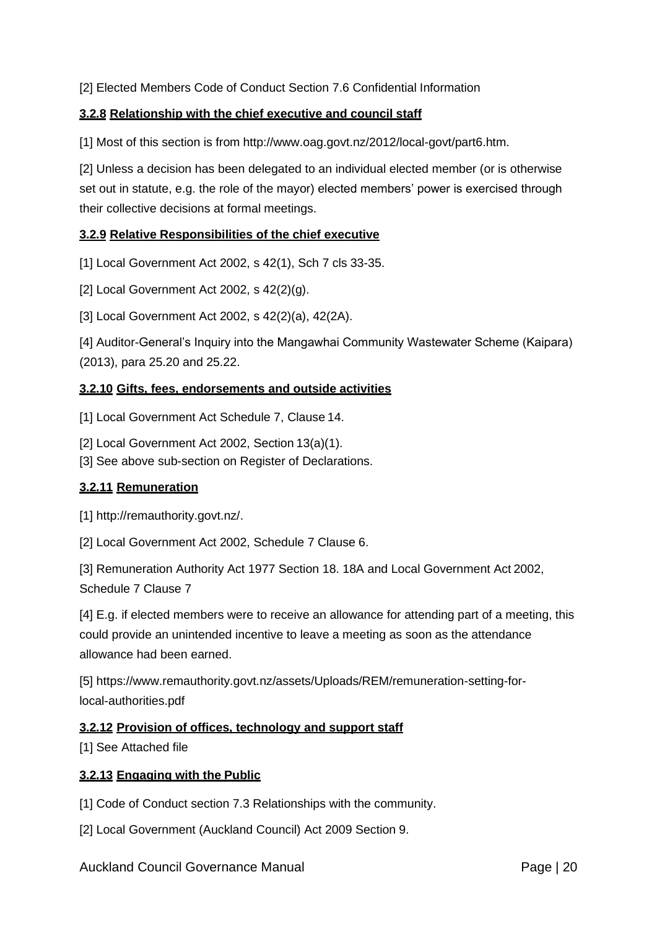[2] Elected Members Code of Conduct Section 7.6 Confidential Information

## **3.2.8 [Relationship with the chief executive and council](http://governance.aucklandcouncil.govt.nz/3-elected-members/conduct-roles-and-personal-interests/relationship-with-the-chief-executive-and-council-staff/) staff**

[1] Most of this section is from [http://www.oag.govt.nz/2012/local-govt/part6.htm.](http://www.oag.govt.nz/2012/local-govt/part6.htm)

[2] Unless a decision has been delegated to an individual elected member (or is otherwise set out in statute, e.g. the role of the mayor) elected members' power is exercised through their collective decisions at formal meetings.

## **3.2.9 [Relative Responsibilities of the chief](http://governance.aucklandcouncil.govt.nz/3-elected-members/conduct-roles-and-personal-interests/relative-responsibilities-of-the-chief-executive-and-elected-members/) executive**

[1] Local Government Act 2002, s 42(1), Sch 7 cls 33-35.

[2] Local Government Act 2002, s 42(2)(g).

[3] Local Government Act 2002, s 42(2)(a), 42(2A).

[4] Auditor-General's Inquiry into the Mangawhai Community Wastewater Scheme (Kaipara) (2013), para 25.20 and 25.22.

#### **3.2.10 [Gifts, fees, endorsements and outside](http://governance.aucklandcouncil.govt.nz/3-elected-members/conduct-roles-and-personal-interests/gifts-fees-endorsements-and-outside-activities/) activities**

[1] Local Government Act Schedule 7, Clause 14.

[2] Local Government Act 2002, Section 13(a)(1).

[3] See above sub-section on Register of Declarations.

#### **3.2.11 [Remuneration](http://governance.aucklandcouncil.govt.nz/3-elected-members/conduct-roles-and-personal-interests/remuneration/)**

[1] [http://remauthority.govt.nz/.](http://remauthority.govt.nz/)

[2] Local Government Act 2002, Schedule 7 Clause 6.

[3] Remuneration Authority Act 1977 Section 18. 18A and Local Government Act 2002, Schedule 7 Clause 7

[4] E.g. if elected members were to receive an allowance for attending part of a meeting, this could provide an unintended incentive to leave a meeting as soon as the attendance allowance had been earned.

[5] https://www.remauthority.govt.nz/assets/Uploads/REM/remuneration-setting-forlocal-authorities.pdf

#### **3.2.12 [Provision of offices, technology and support](http://governance.aucklandcouncil.govt.nz/3-elected-members/conduct-roles-and-personal-interests/provision-of-offices-technology-and-support-staff/) staff**

[1] See Attached file

#### **3.2.13 [Engaging with the](http://governance.aucklandcouncil.govt.nz/3-elected-members/conduct-roles-and-personal-interests/engaging-with-the-public/) Public**

[1] Code of Conduct section 7.3 Relationships with the community.

[2] Local Government (Auckland Council) Act 2009 Section 9.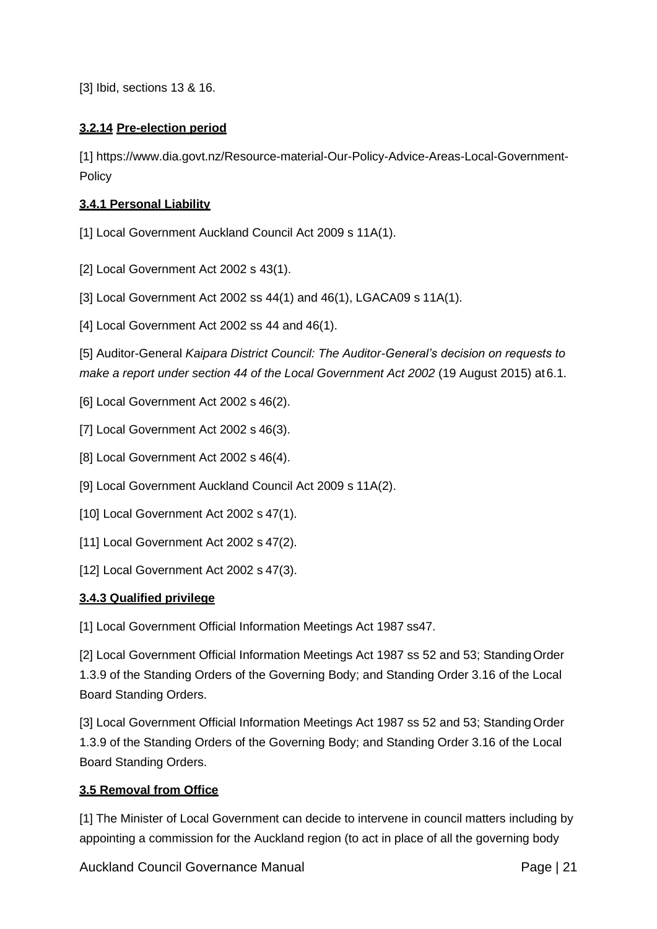[3] Ibid, sections 13 & 16.

## **3.2.14 [Pre-election](http://governance.aucklandcouncil.govt.nz/3-elected-members/conduct-roles-and-personal-interests/pre-election-period/) period**

[1] [https://www.dia.govt.nz/Resource-material-Our-Policy-Advice-Areas-Local-Government-](https://www.dia.govt.nz/Resource-material-Our-Policy-Advice-Areas-Local-Government-Policy)[Policy](https://www.dia.govt.nz/Resource-material-Our-Policy-Advice-Areas-Local-Government-Policy)

## **[3.4.1 Personal Liability](http://governance.aucklandcouncil.govt.nz/3-elected-members/personal-liability-insurance-and-qualified-privilege/personal-liability/)**

[1] Local Government Auckland Council Act 2009 s 11A(1).

- [2] Local Government Act 2002 s 43(1).
- [3] Local Government Act 2002 ss 44(1) and 46(1), LGACA09 s 11A(1).
- [4] Local Government Act 2002 ss 44 and 46(1).

[5] Auditor-General *Kaipara District Council: The Auditor-General's decision on requests to make a report under section 44 of the Local Government Act 2002* (19 August 2015) at 6.1.

- [6] Local Government Act 2002 s 46(2).
- [7] Local Government Act 2002 s 46(3).
- [8] Local Government Act 2002 s 46(4).
- [9] Local Government Auckland Council Act 2009 s 11A(2).
- [10] Local Government Act 2002 s 47(1).
- [11] Local Government Act 2002 s 47(2).
- [12] Local Government Act 2002 s 47(3).

#### **[3.4.3 Qualified privilege](http://governance.aucklandcouncil.govt.nz/3-elected-members/personal-liability-insurance-and-qualified-privilege/qualified-privilege/)**

[1] Local Government Official Information Meetings Act 1987 ss47.

[2] Local Government Official Information Meetings Act 1987 ss 52 and 53; StandingOrder 1.3.9 of the Standing Orders of the Governing Body; and Standing Order 3.16 of the Local Board Standing Orders.

[3] Local Government Official Information Meetings Act 1987 ss 52 and 53; Standing Order 1.3.9 of the Standing Orders of the Governing Body; and Standing Order 3.16 of the Local Board Standing Orders.

#### **[3.5 Removal from Office](http://governance.aucklandcouncil.govt.nz/3-elected-members/removal-from-office/)**

[1] The Minister of Local Government can decide to intervene in council matters including by appointing a commission for the Auckland region (to act in place of all the governing body

Auckland Council Governance Manual **Page 121** Page | 21